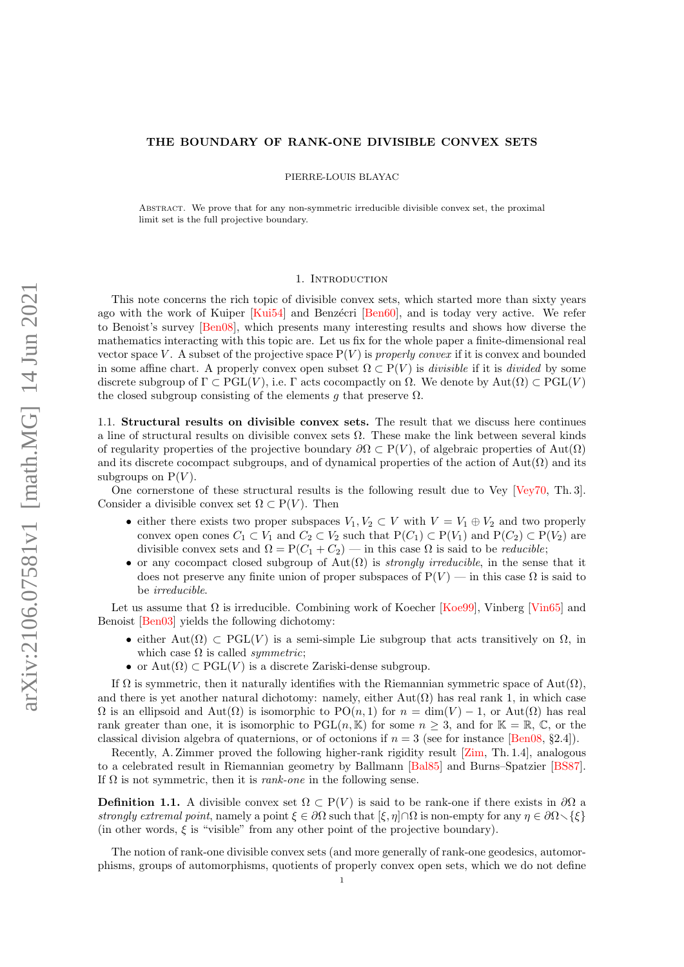# THE BOUNDARY OF RANK-ONE DIVISIBLE CONVEX SETS

PIERRE-LOUIS BLAYAC

Abstract. We prove that for any non-symmetric irreducible divisible convex set, the proximal limit set is the full projective boundary.

### 1. INTRODUCTION

This note concerns the rich topic of divisible convex sets, which started more than sixty years ago with the work of Kuiper [\[Kui54\]](#page-9-0) and Benzécri [\[Ben60\]](#page-9-1), and is today very active. We refer to Benoist's survey [\[Ben08\]](#page-9-2), which presents many interesting results and shows how diverse the mathematics interacting with this topic are. Let us fix for the whole paper a finite-dimensional real vector space V. A subset of the projective space  $P(V)$  is properly convex if it is convex and bounded in some affine chart. A properly convex open subset  $\Omega \subset P(V)$  is *divisible* if it is *divided* by some discrete subgroup of  $\Gamma \subset \text{PGL}(V)$ , i.e.  $\Gamma$  acts cocompactly on  $\Omega$ . We denote by Aut $(\Omega) \subset \text{PGL}(V)$ the closed subgroup consisting of the elements g that preserve  $\Omega$ .

1.1. Structural results on divisible convex sets. The result that we discuss here continues a line of structural results on divisible convex sets  $\Omega$ . These make the link between several kinds of regularity properties of the projective boundary  $\partial \Omega \subset P(V)$ , of algebraic properties of Aut $(\Omega)$ and its discrete cocompact subgroups, and of dynamical properties of the action of  $Aut(\Omega)$  and its subgroups on  $P(V)$ .

One cornerstone of these structural results is the following result due to Vey [\[Vey70,](#page-9-3) Th. 3]. Consider a divisible convex set  $\Omega \subset P(V)$ . Then

- either there exists two proper subspaces  $V_1, V_2 \subset V$  with  $V = V_1 \oplus V_2$  and two properly convex open cones  $C_1 \subset V_1$  and  $C_2 \subset V_2$  such that  $P(C_1) \subset P(V_1)$  and  $P(C_2) \subset P(V_2)$  are divisible convex sets and  $\Omega = P(C_1 + C_2)$  — in this case  $\Omega$  is said to be *reducible*;
- or any cocompact closed subgroup of  $Aut(\Omega)$  is *strongly irreducible*, in the sense that it does not preserve any finite union of proper subspaces of  $P(V)$  — in this case  $\Omega$  is said to be irreducible.

Let us assume that  $\Omega$  is irreducible. Combining work of Koecher [\[Koe99\]](#page-9-4), Vinberg [\[Vin65\]](#page-9-5) and Benoist [\[Ben03\]](#page-9-6) yields the following dichotomy:

- either Aut $(\Omega) \subset \text{PGL}(V)$  is a semi-simple Lie subgroup that acts transitively on  $\Omega$ , in which case  $\Omega$  is called *symmetric*;
- or  $Aut(\Omega) \subset PGL(V)$  is a discrete Zariski-dense subgroup.

If  $\Omega$  is symmetric, then it naturally identifies with the Riemannian symmetric space of Aut $(\Omega)$ , and there is yet another natural dichotomy: namely, either  $Aut(\Omega)$  has real rank 1, in which case  $\Omega$  is an ellipsoid and  $\text{Aut}(\Omega)$  is isomorphic to  $\text{PO}(n,1)$  for  $n = \dim(V) - 1$ , or  $\text{Aut}(\Omega)$  has real rank greater than one, it is isomorphic to  $PGL(n, K)$  for some  $n > 3$ , and for  $K = \mathbb{R}, \mathbb{C}$ , or the classical division algebra of quaternions, or of octonions if  $n = 3$  (see for instance [\[Ben08,](#page-9-2) §2.4]).

Recently, A. Zimmer proved the following higher-rank rigidity result [\[Zim,](#page-9-7) Th. 1.4], analogous to a celebrated result in Riemannian geometry by Ballmann [\[Bal85\]](#page-9-8) and Burns–Spatzier [\[BS87\]](#page-9-9). If  $\Omega$  is not symmetric, then it is *rank-one* in the following sense.

<span id="page-0-0"></span>**Definition 1.1.** A divisible convex set  $\Omega \subset P(V)$  is said to be rank-one if there exists in  $\partial\Omega$  a strongly extremal point, namely a point  $\xi \in \partial\Omega$  such that  $[\xi, \eta] \cap \Omega$  is non-empty for any  $\eta \in \partial\Omega \setminus \{\xi\}$ (in other words,  $\xi$  is "visible" from any other point of the projective boundary).

The notion of rank-one divisible convex sets (and more generally of rank-one geodesics, automorphisms, groups of automorphisms, quotients of properly convex open sets, which we do not define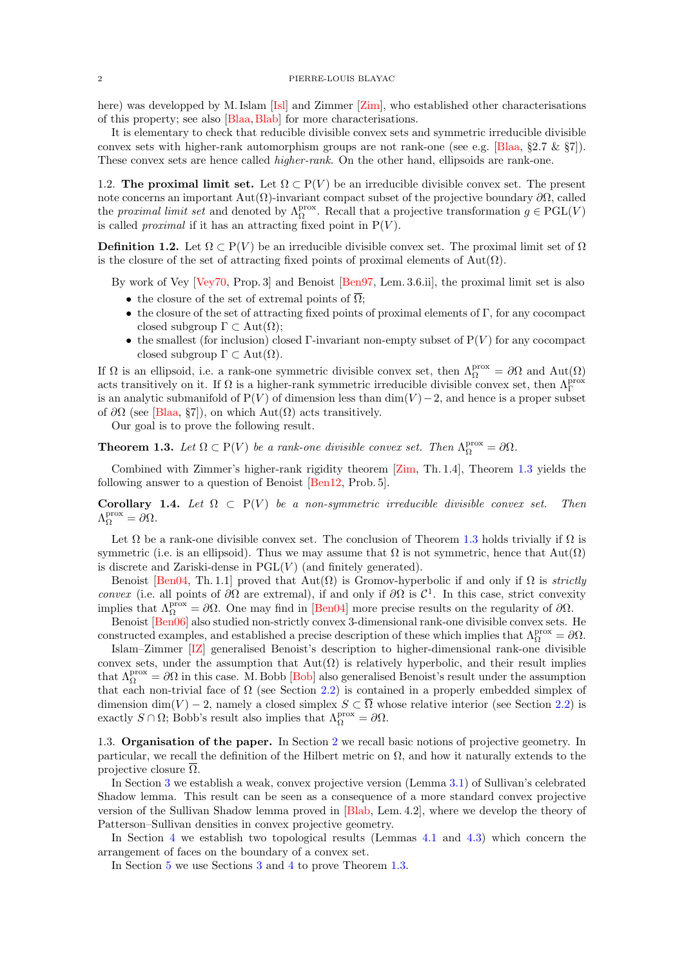here) was developped by M. Islam [\[Isl\]](#page-9-10) and Zimmer [\[Zim\]](#page-9-7), who established other characterisations of this property; see also [\[Blaa,](#page-9-11)[Blab\]](#page-9-12) for more characterisations.

It is elementary to check that reducible divisible convex sets and symmetric irreducible divisible convex sets with higher-rank automorphism groups are not rank-one (see e.g. [\[Blaa,](#page-9-11)  $\S 2.7 \& \ \S 7$ ]). These convex sets are hence called *higher-rank*. On the other hand, ellipsoids are rank-one.

<span id="page-1-1"></span>1.2. The proximal limit set. Let  $\Omega \subset P(V)$  be an irreducible divisible convex set. The present note concerns an important Aut $(\Omega)$ -invariant compact subset of the projective boundary ∂ $\Omega$ , called the proximal limit set and denoted by  $\Lambda_{\Omega}^{\text{prox}}$ . Recall that a projective transformation  $g \in \text{PGL}(V)$ is called *proximal* if it has an attracting fixed point in  $P(V)$ .

**Definition 1.2.** Let  $\Omega \subset P(V)$  be an irreducible divisible convex set. The proximal limit set of  $\Omega$ is the closure of the set of attracting fixed points of proximal elements of  $Aut(\Omega)$ .

By work of Vey [\[Vey70,](#page-9-3) Prop. 3] and Benoist [\[Ben97,](#page-9-13) Lem. 3.6.ii], the proximal limit set is also

- the closure of the set of extremal points of  $\overline{\Omega}$ ;
- the closure of the set of attracting fixed points of proximal elements of  $\Gamma$ , for any cocompact closed subgroup  $\Gamma \subset Aut(\Omega);$
- the smallest (for inclusion) closed Γ-invariant non-empty subset of  $P(V)$  for any cocompact closed subgroup  $\Gamma \subset Aut(\Omega)$ .

If  $\Omega$  is an ellipsoid, i.e. a rank-one symmetric divisible convex set, then  $\Lambda_{\Omega}^{\text{prox}} = \partial \Omega$  and  $\text{Aut}(\Omega)$ acts transitively on it. If  $\Omega$  is a higher-rank symmetric irreducible divisible convex set, then  $\Lambda_{\Gamma}^{\text{prox}}$ is an analytic submanifold of  $P(V)$  of dimension less than dim(V) – 2, and hence is a proper subset of  $\partial\Omega$  (see [\[Blaa,](#page-9-11) §7]), on which Aut( $\Omega$ ) acts transitively.

Our goal is to prove the following result.

<span id="page-1-0"></span>**Theorem 1.3.** Let  $\Omega \subset P(V)$  be a rank-one divisible convex set. Then  $\Lambda_{\Omega}^{\text{prox}} = \partial \Omega$ .

Combined with Zimmer's higher-rank rigidity theorem [\[Zim,](#page-9-7) Th. 1.4], Theorem [1.3](#page-1-0) yields the following answer to a question of Benoist [\[Ben12,](#page-9-14) Prob. 5].

Corollary 1.4. Let  $\Omega \subset P(V)$  be a non-symmetric irreducible divisible convex set. Then  $\Lambda_{\Omega}^{\text{prox}} = \partial \Omega.$ 

Let  $\Omega$  be a rank-one divisible convex set. The conclusion of Theorem [1.3](#page-1-0) holds trivially if  $\Omega$  is symmetric (i.e. is an ellipsoid). Thus we may assume that  $\Omega$  is not symmetric, hence that  $Aut(\Omega)$ is discrete and Zariski-dense in  $PGL(V)$  (and finitely generated).

Benoist [\[Ben04,](#page-9-15) Th. 1.1] proved that  $Aut(\Omega)$  is Gromov-hyperbolic if and only if  $\Omega$  is *strictly* convex (i.e. all points of  $\partial\Omega$  are extremal), if and only if  $\partial\Omega$  is  $\mathcal{C}^1$ . In this case, strict convexity implies that  $\Lambda_{\Omega}^{\text{prox}} = \partial \Omega$ . One may find in [\[Ben04\]](#page-9-15) more precise results on the regularity of  $\partial \Omega$ .

Benoist [\[Ben06\]](#page-9-16) also studied non-strictly convex 3-dimensional rank-one divisible convex sets. He constructed examples, and established a precise description of these which implies that  $\Lambda_{\Omega}^{\text{prox}} = \partial \Omega$ .

Islam–Zimmer [\[IZ\]](#page-9-17) generalised Benoist's description to higher-dimensional rank-one divisible convex sets, under the assumption that  $Aut(\Omega)$  is relatively hyperbolic, and their result implies that  $\Lambda_{\Omega}^{\text{prox}} = \partial \Omega$  in this case. M. Bobb [\[Bob\]](#page-9-18) also generalised Benoist's result under the assumption that each non-trivial face of  $\Omega$  (see Section [2.2\)](#page-2-0) is contained in a properly embedded simplex of dimension dim(V) – 2, namely a closed simplex  $S \subset \overline{\Omega}$  whose relative interior (see Section [2.2\)](#page-2-0) is exactly  $S \cap \Omega$ ; Bobb's result also implies that  $\Lambda_{\Omega}^{\text{prox}} = \partial \Omega$ .

1.3. Organisation of the paper. In Section [2](#page-2-1) we recall basic notions of projective geometry. In particular, we recall the definition of the Hilbert metric on  $\Omega$ , and how it naturally extends to the projective closure  $\Omega$ .

In Section [3](#page-3-0) we establish a weak, convex projective version (Lemma [3.1\)](#page-3-1) of Sullivan's celebrated Shadow lemma. This result can be seen as a consequence of a more standard convex projective version of the Sullivan Shadow lemma proved in [\[Blab,](#page-9-12) Lem. 4.2], where we develop the theory of Patterson–Sullivan densities in convex projective geometry.

In Section [4](#page-4-0) we establish two topological results (Lemmas [4.1](#page-4-1) and [4.3\)](#page-6-0) which concern the arrangement of faces on the boundary of a convex set.

In Section [5](#page-9-19) we use Sections [3](#page-3-0) and [4](#page-4-0) to prove Theorem [1.3.](#page-1-0)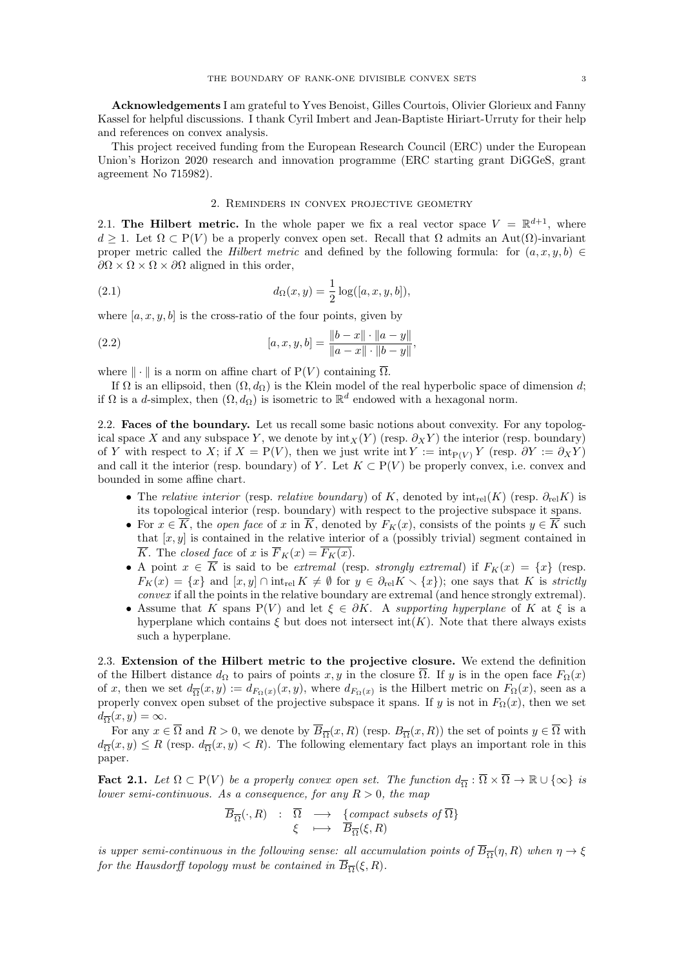Acknowledgements I am grateful to Yves Benoist, Gilles Courtois, Olivier Glorieux and Fanny Kassel for helpful discussions. I thank Cyril Imbert and Jean-Baptiste Hiriart-Urruty for their help and references on convex analysis.

This project received funding from the European Research Council (ERC) under the European Union's Horizon 2020 research and innovation programme (ERC starting grant DiGGeS, grant agreement No 715982).

### <span id="page-2-2"></span>2. Reminders in convex projective geometry

<span id="page-2-1"></span>2.1. The Hilbert metric. In the whole paper we fix a real vector space  $V = \mathbb{R}^{d+1}$ , where  $d \geq 1$ . Let  $\Omega \subset P(V)$  be a properly convex open set. Recall that  $\Omega$  admits an Aut $(\Omega)$ -invariant proper metric called the *Hilbert metric* and defined by the following formula: for  $(a, x, y, b) \in$  $\partial\Omega \times \Omega \times \partial\Omega$  aligned in this order,

(2.1) 
$$
d_{\Omega}(x, y) = \frac{1}{2} \log([a, x, y, b]),
$$

where  $[a, x, y, b]$  is the cross-ratio of the four points, given by

(2.2) 
$$
[a, x, y, b] = \frac{\|b - x\| \cdot \|a - y\|}{\|a - x\| \cdot \|b - y\|},
$$

where  $\|\cdot\|$  is a norm on affine chart of  $P(V)$  containing  $\overline{\Omega}$ .

If  $\Omega$  is an ellipsoid, then  $(\Omega, d_{\Omega})$  is the Klein model of the real hyperbolic space of dimension d; if  $\Omega$  is a d-simplex, then  $(\Omega, d_{\Omega})$  is isometric to  $\mathbb{R}^d$  endowed with a hexagonal norm.

<span id="page-2-0"></span>2.2. Faces of the boundary. Let us recall some basic notions about convexity. For any topological space X and any subspace Y, we denote by  $\text{int}_X(Y)$  (resp.  $\partial_X Y$ ) the interior (resp. boundary) of Y with respect to X; if  $X = P(V)$ , then we just write int  $Y := \text{int}_{P(V)} Y$  (resp.  $\partial Y := \partial_X Y$ ) and call it the interior (resp. boundary) of Y. Let  $K \subset P(V)$  be properly convex, i.e. convex and bounded in some affine chart.

- The relative interior (resp. relative boundary) of K, denoted by  $\text{int}_{rel}(K)$  (resp.  $\partial_{rel}K$ ) is its topological interior (resp. boundary) with respect to the projective subspace it spans.
- For  $x \in \overline{K}$ , the *open face* of x in  $\overline{K}$ , denoted by  $F_K(x)$ , consists of the points  $y \in \overline{K}$  such that  $[x, y]$  is contained in the relative interior of a (possibly trivial) segment contained in  $\overline{K}$ . The closed face of x is  $\overline{F}_K(x) = \overline{F_K(x)}$ .
- A point  $x \in \overline{K}$  is said to be extremal (resp. strongly extremal) if  $F_K(x) = \{x\}$  (resp.  $F_K(x) = \{x\}$  and  $[x, y] \cap \text{int}_{rel} K \neq \emptyset$  for  $y \in \partial_{rel} K \setminus \{x\}$ ; one says that K is strictly convex if all the points in the relative boundary are extremal (and hence strongly extremal).
- Assume that K spans P(V) and let  $\xi \in \partial K$ . A supporting hyperplane of K at  $\xi$  is a hyperplane which contains  $\xi$  but does not intersect int(K). Note that there always exists such a hyperplane.

2.3. Extension of the Hilbert metric to the projective closure. We extend the definition of the Hilbert distance  $d_{\Omega}$  to pairs of points x, y in the closure  $\overline{\Omega}$ . If y is in the open face  $F_{\Omega}(x)$ of x, then we set  $d_{\overline{\Omega}}(x,y) := d_{F_{\Omega}(x)}(x,y)$ , where  $d_{F_{\Omega}(x)}$  is the Hilbert metric on  $F_{\Omega}(x)$ , seen as a properly convex open subset of the projective subspace it spans. If y is not in  $F_{\Omega}(x)$ , then we set  $d_{\overline{\Omega}}(x,y) = \infty.$ 

For any  $x \in \overline{\Omega}$  and  $R > 0$ , we denote by  $\overline{B}_{\overline{\Omega}}(x,R)$  (resp.  $B_{\overline{\Omega}}(x,R)$ ) the set of points  $y \in \overline{\Omega}$  with  $d_{\overline{\Omega}}(x,y) \le R$  (resp.  $d_{\overline{\Omega}}(x,y) < R$ ). The following elementary fact plays an important role in this paper.

<span id="page-2-3"></span>**Fact 2.1.** Let  $\Omega \subset P(V)$  be a properly convex open set. The function  $d_{\overline{\Omega}} : \overline{\Omega} \times \overline{\Omega} \to \mathbb{R} \cup {\infty}$  is lower semi-continuous. As a consequence, for any  $R > 0$ , the map

$$
\overline{B}_{\overline{\Omega}}(\cdot, R) \quad : \quad \overline{\Omega} \quad \longrightarrow \quad \{compact \ subsets \ of \ \overline{\Omega} \} \quad \xi \quad \longmapsto \quad \overline{B}_{\overline{\Omega}}(\xi, R)
$$

is upper semi-continuous in the following sense: all accumulation points of  $\overline{B}_{\overline{\Omega}}(\eta, R)$  when  $\eta \to \xi$ for the Hausdorff topology must be contained in  $B_{\overline{\Omega}}(\xi, R)$ .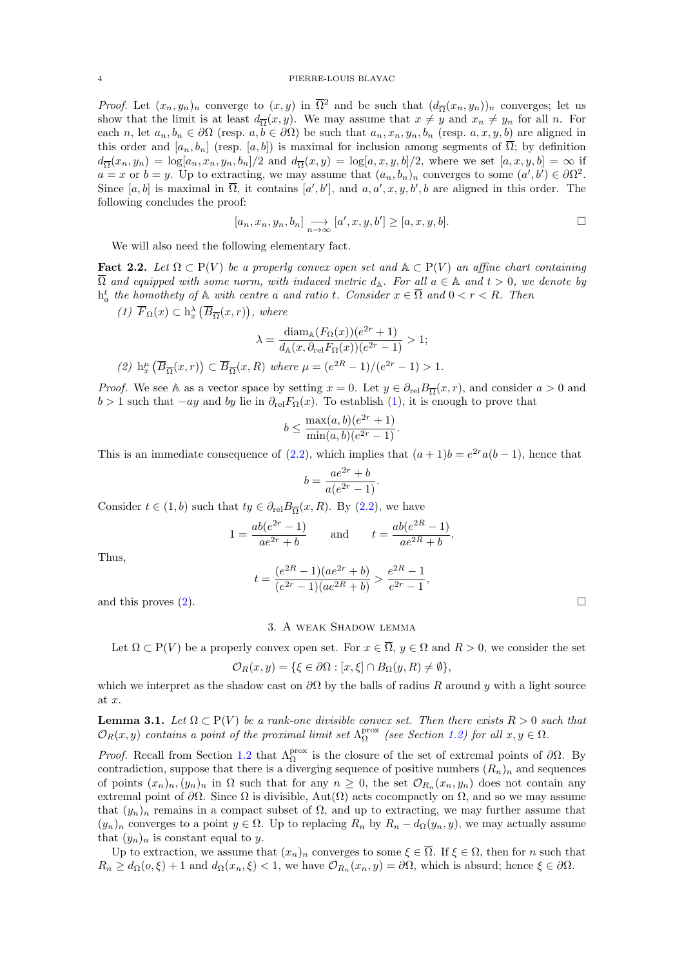### 4 PIERRE-LOUIS BLAYAC

*Proof.* Let  $(x_n, y_n)_n$  converge to  $(x, y)$  in  $\overline{\Omega}^2$  and be such that  $(d_{\overline{\Omega}}(x_n, y_n))_n$  converges; let us show that the limit is at least  $d_{\overline{\Omega}}(x, y)$ . We may assume that  $x \neq y$  and  $x_n \neq y_n$  for all n. For each n, let  $a_n, b_n \in \partial\Omega$  (resp.  $a, b \in \partial\Omega$ ) be such that  $a_n, x_n, y_n, b_n$  (resp.  $a, x, y, b$ ) are aligned in this order and  $[a_n, b_n]$  (resp.  $[a, b]$ ) is maximal for inclusion among segments of  $\overline{\Omega}$ ; by definition  $d_{\overline{\Omega}}(x_n, y_n) = \log[a_n, x_n, y_n, b_n]/2$  and  $d_{\overline{\Omega}}(x, y) = \log[a, x, y, b]/2$ , where we set  $[a, x, y, b] = \infty$  if  $a = x$  or  $b = y$ . Up to extracting, we may assume that  $(a_n, b_n)_n$  converges to some  $(a', b') \in \partial\Omega^2$ . Since [a, b] is maximal in  $\overline{\Omega}$ , it contains [a', b'], and  $a, a', x, y, b', b$  are aligned in this order. The following concludes the proof:

$$
[a_n, x_n, y_n, b_n] \underset{n \to \infty}{\longrightarrow} [a', x, y, b'] \geq [a, x, y, b].
$$

We will also need the following elementary fact.

<span id="page-3-4"></span>Fact 2.2. Let  $\Omega \subset P(V)$  be a properly convex open set and  $\mathbb{A} \subset P(V)$  an affine chart containing  $\overline{\Omega}$  and equipped with some norm, with induced metric  $d_{\mathbb{A}}$ . For all  $a \in \mathbb{A}$  and  $t > 0$ , we denote by  $h_a^t$  the homothety of  $A$  with centre a and ratio t. Consider  $x \in \overline{\Omega}$  and  $0 < r < R$ . Then

<span id="page-3-2"></span>(1) 
$$
\overline{F}_{\Omega}(x) \subset h_x^{\lambda}(\overline{B}_{\overline{\Omega}}(x,r)),
$$
 where

$$
\lambda = \frac{\text{diam}_{\mathbb{A}}(F_{\Omega}(x))(e^{2r} + 1)}{d_{\mathbb{A}}(x, \partial_{\text{rel}} F_{\Omega}(x))(e^{2r} - 1)} > 1;
$$
\n
$$
(2) \ \text{h}_x^{\mu}(\overline{B}_{\overline{\Omega}}(x, r)) \subset \overline{B}_{\overline{\Omega}}(x, R) \text{ where } \mu = (e^{2R} - 1)/(e^{2r} - 1) > 1.
$$

<span id="page-3-3"></span>*Proof.* We see A as a vector space by setting  $x = 0$ . Let  $y \in \partial_{\text{rel}} B_{\overline{\Omega}}(x, r)$ , and consider  $a > 0$  and  $b > 1$  such that  $-ay$  and by lie in  $\partial_{rel}F_{\Omega}(x)$ . To establish [\(1\)](#page-3-2), it is enough to prove that

$$
b \le \frac{\max(a, b)(e^{2r} + 1)}{\min(a, b)(e^{2r} - 1)}.
$$

This is an immediate consequence of  $(2.2)$ , which implies that  $(a+1)b = e^{2r}a(b-1)$ , hence that

$$
b = \frac{ae^{2r} + b}{a(e^{2r} - 1)}.
$$

Consider  $t \in (1, b)$  such that  $ty \in \partial_{rel} B_{\overline{\Omega}}(x, R)$ . By  $(2.2)$ , we have

$$
1 = \frac{ab(e^{2r} - 1)}{ae^{2r} + b}
$$
 and  $t = \frac{ab(e^{2R} - 1)}{ae^{2R} + b}$ .

Thus,

$$
t = \frac{(e^{2R} - 1)(ae^{2r} + b)}{(e^{2r} - 1)(ae^{2R} + b)} > \frac{e^{2R} - 1}{e^{2r} - 1},
$$
  
and this proves (2).

<span id="page-3-0"></span>

### 3. A weak Shadow lemma

Let  $\Omega \subset P(V)$  be a properly convex open set. For  $x \in \overline{\Omega}$ ,  $y \in \Omega$  and  $R > 0$ , we consider the set

$$
\mathcal{O}_R(x,y) = \{ \xi \in \partial \Omega : [x,\xi] \cap B_{\Omega}(y,R) \neq \emptyset \},\
$$

which we interpret as the shadow cast on  $\partial\Omega$  by the balls of radius R around y with a light source at x.

<span id="page-3-1"></span>**Lemma 3.1.** Let  $\Omega \subset P(V)$  be a rank-one divisible convex set. Then there exists  $R > 0$  such that  $\mathcal{O}_R(x,y)$  contains a point of the proximal limit set  $\Lambda_\Omega^{\text{prox}}$  (see Section [1.2\)](#page-1-1) for all  $x, y \in \Omega$ .

*Proof.* Recall from Section [1.2](#page-1-1) that  $\Lambda_{\Omega}^{\text{prox}}$  is the closure of the set of extremal points of  $\partial \Omega$ . By contradiction, suppose that there is a diverging sequence of positive numbers  $(R_n)_n$  and sequences of points  $(x_n)_n, (y_n)_n$  in  $\Omega$  such that for any  $n \geq 0$ , the set  $\mathcal{O}_{R_n}(x_n, y_n)$  does not contain any extremal point of  $\partial\Omega$ . Since  $\Omega$  is divisible, Aut $(\Omega)$  acts cocompactly on  $\Omega$ , and so we may assume that  $(y_n)_n$  remains in a compact subset of  $\Omega$ , and up to extracting, we may further assume that  $(y_n)_n$  converges to a point  $y \in \Omega$ . Up to replacing  $R_n$  by  $R_n - d_{\Omega}(y_n, y)$ , we may actually assume that  $(y_n)_n$  is constant equal to y.

Up to extraction, we assume that  $(x_n)_n$  converges to some  $\xi \in \overline{\Omega}$ . If  $\xi \in \Omega$ , then for n such that  $R_n \geq d_{\Omega}(o,\xi) + 1$  and  $d_{\Omega}(x_n,\xi) < 1$ , we have  $\mathcal{O}_{R_n}(x_n,y) = \partial\Omega$ , which is absurd; hence  $\xi \in \partial\Omega$ .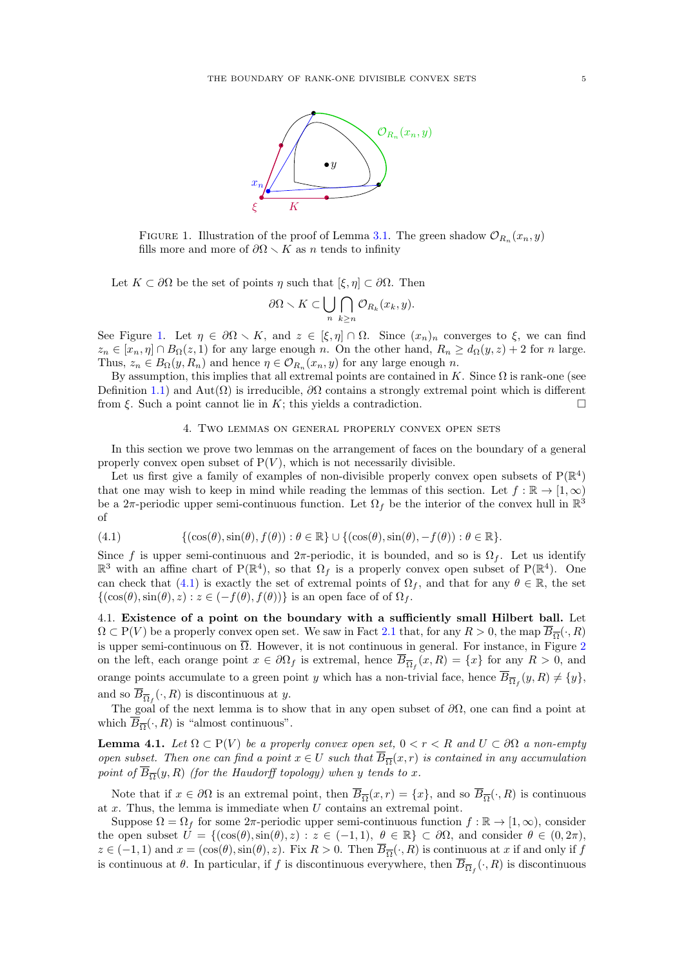

<span id="page-4-2"></span>FIGURE 1. Illustration of the proof of Lemma [3.1.](#page-3-1) The green shadow  $\mathcal{O}_{R_n}(x_n, y)$ fills more and more of  $\partial\Omega \setminus K$  as n tends to infinity

Let  $K \subset \partial\Omega$  be the set of points  $\eta$  such that  $[\xi, \eta] \subset \partial\Omega$ . Then

$$
\partial\Omega \setminus K \subset \bigcup_{n} \bigcap_{k \geq n} \mathcal{O}_{R_k}(x_k, y).
$$

See Figure [1.](#page-4-2) Let  $\eta \in \partial\Omega \setminus K$ , and  $z \in [\xi, \eta] \cap \Omega$ . Since  $(x_n)_n$  converges to  $\xi$ , we can find  $z_n \in [x_n, \eta] \cap B_{\Omega}(z,1)$  for any large enough n. On the other hand,  $R_n \geq d_{\Omega}(y, z) + 2$  for n large. Thus,  $z_n \in B_{\Omega}(y, R_n)$  and hence  $\eta \in \mathcal{O}_{R_n}(x_n, y)$  for any large enough n.

By assumption, this implies that all extremal points are contained in K. Since  $\Omega$  is rank-one (see Definition [1.1\)](#page-0-0) and Aut( $\Omega$ ) is irreducible,  $\partial\Omega$  contains a strongly extremal point which is different from  $\xi$ . Such a point cannot lie in K; this yields a contradiction.

### 4. Two lemmas on general properly convex open sets

<span id="page-4-0"></span>In this section we prove two lemmas on the arrangement of faces on the boundary of a general properly convex open subset of  $P(V)$ , which is not necessarily divisible.

Let us first give a family of examples of non-divisible properly convex open subsets of  $P(\mathbb{R}^4)$ that one may wish to keep in mind while reading the lemmas of this section. Let  $f : \mathbb{R} \to [1,\infty)$ be a  $2\pi$ -periodic upper semi-continuous function. Let  $\Omega_f$  be the interior of the convex hull in  $\mathbb{R}^3$ of

<span id="page-4-3"></span>(4.1) 
$$
\{(\cos(\theta), \sin(\theta), f(\theta)) : \theta \in \mathbb{R}\} \cup \{(\cos(\theta), \sin(\theta), -f(\theta)) : \theta \in \mathbb{R}\}.
$$

Since f is upper semi-continuous and  $2\pi$ -periodic, it is bounded, and so is  $\Omega_f$ . Let us identify  $\mathbb{R}^3$  with an affine chart of P( $\mathbb{R}^4$ ), so that  $\Omega_f$  is a properly convex open subset of P( $\mathbb{R}^4$ ). One can check that [\(4.1\)](#page-4-3) is exactly the set of extremal points of  $\Omega_f$ , and that for any  $\theta \in \mathbb{R}$ , the set  $\{(\cos(\theta), \sin(\theta), z) : z \in (-f(\theta), f(\theta))\}$  is an open face of of  $\Omega_f$ .

4.1. Existence of a point on the boundary with a sufficiently small Hilbert ball. Let  $\Omega \subset P(V)$  be a properly convex open set. We saw in Fact [2.1](#page-2-3) that, for any  $R > 0$ , the map  $\overline{B}_{\overline{\Omega}}(\cdot, R)$ is upper semi-continuous on  $\overline{\Omega}$ . However, it is not continuous in general. For instance, in Figure [2](#page-5-0) on the left, each orange point  $x \in \partial \Omega_f$  is extremal, hence  $\overline{B}_{\overline{\Omega}_f}(x,R) = \{x\}$  for any  $R > 0$ , and orange points accumulate to a green point y which has a non-trivial face, hence  $\overline{B}_{\overline{\Omega}_f}(y,R) \neq \{y\}$ , and so  $B_{\overline{\Omega}_f}(\cdot, R)$  is discontinuous at y.

The goal of the next lemma is to show that in any open subset of  $\partial\Omega$ , one can find a point at which  $\overline{B}_{\overline{\Omega}}(\cdot, R)$  is "almost continuous".

<span id="page-4-1"></span>**Lemma 4.1.** Let  $\Omega \subset P(V)$  be a properly convex open set,  $0 < r < R$  and  $U \subset \partial \Omega$  a non-empty open subset. Then one can find a point  $x \in U$  such that  $\overline{B}_{\overline{\Omega}}(x,r)$  is contained in any accumulation point of  $B_{\overline{\Omega}}(y,R)$  (for the Haudorff topology) when y tends to x.

Note that if  $x \in \partial\Omega$  is an extremal point, then  $\overline{B}_{\overline{\Omega}}(x,r) = \{x\}$ , and so  $\overline{B}_{\overline{\Omega}}(\cdot, R)$  is continuous at  $x$ . Thus, the lemma is immediate when  $U$  contains an extremal point.

Suppose  $\Omega = \Omega_f$  for some  $2\pi$ -periodic upper semi-continuous function  $f : \mathbb{R} \to [1, \infty)$ , consider the open subset  $U = \{(\cos(\theta), \sin(\theta), z) : z \in (-1, 1), \theta \in \mathbb{R}\}\subset \partial\Omega$ , and consider  $\theta \in (0, 2\pi)$ ,  $z \in (-1,1)$  and  $x = (\cos(\theta), \sin(\theta), z)$ . Fix  $R > 0$ . Then  $\overline{B}_{\overline{\Omega}}(\cdot, R)$  is continuous at x if and only if f is continuous at  $\theta$ . In particular, if f is discontinuous everywhere, then  $B_{\overline{\Omega}_f}(\cdot, R)$  is discontinuous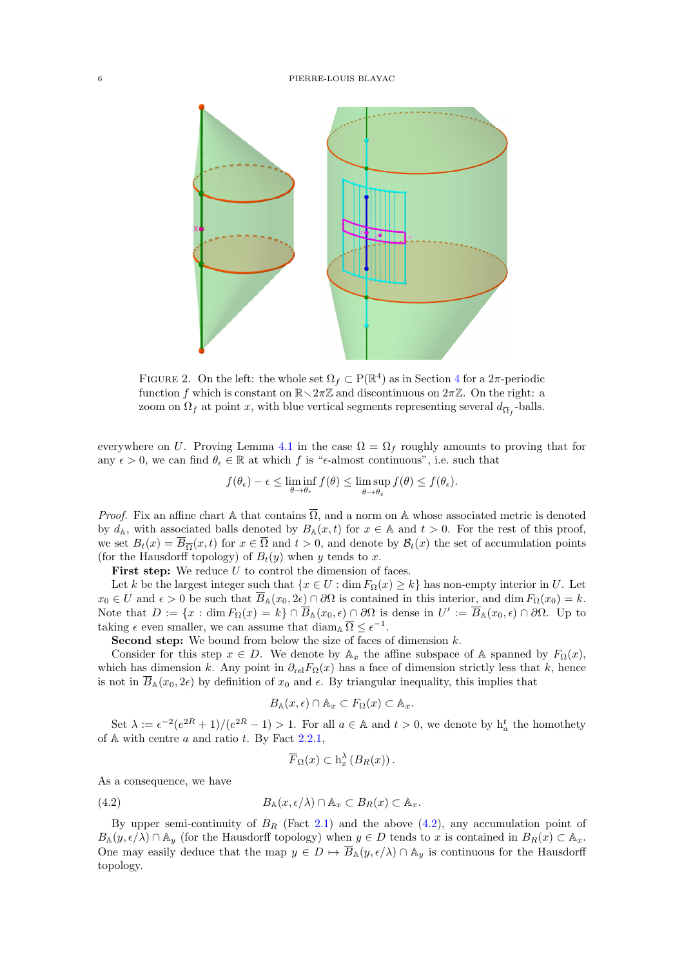<span id="page-5-0"></span>

FIGURE 2. On the left: the whole set  $\Omega_f \subset P(\mathbb{R}^4)$  $\Omega_f \subset P(\mathbb{R}^4)$  $\Omega_f \subset P(\mathbb{R}^4)$  as in Section 4 for a  $2\pi$ -periodic function f which is constant on  $\mathbb{R}\setminus 2\pi\mathbb{Z}$  and discontinuous on  $2\pi\mathbb{Z}$ . On the right: a zoom on  $\Omega_f$  at point x, with blue vertical segments representing several  $d_{\overline{\Omega}_f}$ -balls.

everywhere on U. Proving Lemma [4.1](#page-4-1) in the case  $\Omega = \Omega_f$  roughly amounts to proving that for any  $\epsilon > 0$ , we can find  $\theta_{\epsilon} \in \mathbb{R}$  at which f is " $\epsilon$ -almost continuous", i.e. such that

$$
f(\theta_{\epsilon}) - \epsilon \leq \liminf_{\theta \to \theta_{\epsilon}} f(\theta) \leq \limsup_{\theta \to \theta_{\epsilon}} f(\theta) \leq f(\theta_{\epsilon}).
$$

*Proof.* Fix an affine chart A that contains  $\overline{\Omega}$ , and a norm on A whose associated metric is denoted by  $d_{\mathbb{A}}$ , with associated balls denoted by  $B_{\mathbb{A}}(x,t)$  for  $x \in \mathbb{A}$  and  $t > 0$ . For the rest of this proof, we set  $B_t(x) = B_{\overline{\Omega}}(x, t)$  for  $x \in \Omega$  and  $t > 0$ , and denote by  $\mathcal{B}_t(x)$  the set of accumulation points (for the Hausdorff topology) of  $B_t(y)$  when y tends to x.

**First step:** We reduce  $U$  to control the dimension of faces.

Let k be the largest integer such that  $\{x \in U : \dim F_{\Omega}(x) \geq k\}$  has non-empty interior in U. Let  $x_0 \in U$  and  $\epsilon > 0$  be such that  $\overline{B}_{\mathbb{A}}(x_0, 2\epsilon) \cap \partial\Omega$  is contained in this interior, and dim  $F_{\Omega}(x_0) = k$ . Note that  $D := \{x : \dim F_{\Omega}(x) = k\} \cap \overline{B}_{\mathbb{A}}(x_0, \epsilon) \cap \partial \Omega$  is dense in  $U' := \overline{B}_{\mathbb{A}}(x_0, \epsilon) \cap \partial \Omega$ . Up to taking  $\epsilon$  even smaller, we can assume that  $\text{diam}_{\mathbb{A}}\,\overline{\Omega} \leq \epsilon^{-1}$ .

**Second step:** We bound from below the size of faces of dimension  $k$ .

Consider for this step  $x \in D$ . We denote by  $\mathbb{A}_x$  the affine subspace of A spanned by  $F_{\Omega}(x)$ , which has dimension k. Any point in  $\partial_{rel}F_{\Omega}(x)$  has a face of dimension strictly less that k, hence is not in  $\overline{B}_{\mathbb{A}}(x_0, 2\epsilon)$  by definition of  $x_0$  and  $\epsilon$ . By triangular inequality, this implies that

$$
B_{\mathbb{A}}(x,\epsilon) \cap \mathbb{A}_x \subset F_{\Omega}(x) \subset \mathbb{A}_x.
$$

Set  $\lambda := \epsilon^{-2} (e^{2R} + 1) / (e^{2R} - 1) > 1$ . For all  $a \in \mathbb{A}$  and  $t > 0$ , we denote by  $h_a^t$  the homothety of  $A$  with centre  $a$  and ratio  $t$ . By Fact [2.2](#page-3-4)[.1,](#page-3-2)

<span id="page-5-1"></span>
$$
\overline{F}_{\Omega}(x) \subset h_x^{\lambda} (B_R(x)).
$$

As a consequence, we have

(4.2) 
$$
B_{\mathbb{A}}(x,\epsilon/\lambda) \cap \mathbb{A}_x \subset B_R(x) \subset \mathbb{A}_x.
$$

By upper semi-continuity of  $B_R$  (Fact [2.1\)](#page-2-3) and the above [\(4.2\)](#page-5-1), any accumulation point of  $B_{\mathbb{A}}(y, \epsilon/\lambda) \cap \mathbb{A}_y$  (for the Hausdorff topology) when  $y \in D$  tends to x is contained in  $B_R(x) \subset \mathbb{A}_x$ . One may easily deduce that the map  $y \in D \mapsto \overline{B}_{\mathbb{A}}(y, \epsilon/\lambda) \cap \mathbb{A}_y$  is continuous for the Hausdorff topology.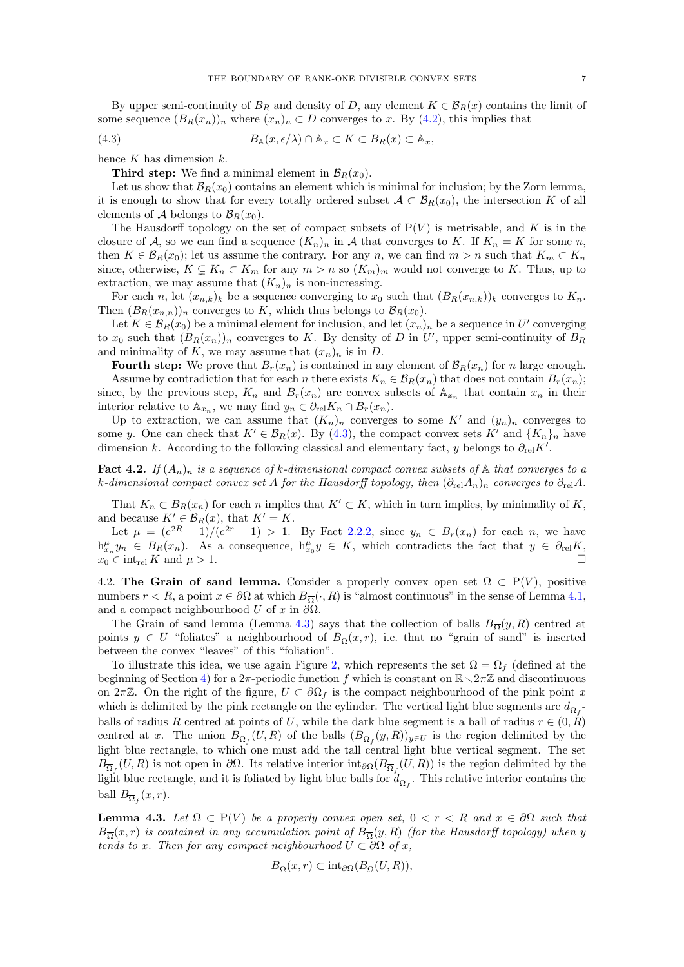By upper semi-continuity of  $B_R$  and density of D, any element  $K \in \mathcal{B}_R(x)$  contains the limit of some sequence  $(B_R(x_n))_n$  where  $(x_n)_n \subset D$  converges to x. By [\(4.2\)](#page-5-1), this implies that

(4.3) 
$$
B_{\mathbb{A}}(x,\epsilon/\lambda) \cap \mathbb{A}_x \subset K \subset B_R(x) \subset \mathbb{A}_x,
$$

hence  $K$  has dimension  $k$ .

<span id="page-6-1"></span>**Third step:** We find a minimal element in  $\mathcal{B}_R(x_0)$ .

Let us show that  $\mathcal{B}_R(x_0)$  contains an element which is minimal for inclusion; by the Zorn lemma, it is enough to show that for every totally ordered subset  $A \subset \mathcal{B}_R(x_0)$ , the intersection K of all elements of A belongs to  $\mathcal{B}_R(x_0)$ .

The Hausdorff topology on the set of compact subsets of  $P(V)$  is metrisable, and K is in the closure of A, so we can find a sequence  $(K_n)_n$  in A that converges to K. If  $K_n = K$  for some n, then  $K \in \mathcal{B}_R(x_0)$ ; let us assume the contrary. For any n, we can find  $m > n$  such that  $K_m \subset K_n$ since, otherwise,  $K \subsetneq K_n \subset K_m$  for any  $m > n$  so  $(K_m)_m$  would not converge to K. Thus, up to extraction, we may assume that  $(K_n)_n$  is non-increasing.

For each n, let  $(x_{n,k})_k$  be a sequence converging to  $x_0$  such that  $(B_R(x_{n,k}))_k$  converges to  $K_n$ . Then  $(B_R(x_{n,n}))_n$  converges to K, which thus belongs to  $\mathcal{B}_R(x_0)$ .

Let  $K \in \mathcal{B}_R(x_0)$  be a minimal element for inclusion, and let  $(x_n)_n$  be a sequence in U' converging to  $x_0$  such that  $(B_R(x_n))_n$  converges to K. By density of D in U', upper semi-continuity of  $B_R$ and minimality of K, we may assume that  $(x_n)_n$  is in D.

**Fourth step:** We prove that  $B_r(x_n)$  is contained in any element of  $B_R(x_n)$  for n large enough. Assume by contradiction that for each n there exists  $K_n \in \mathcal{B}_R(x_n)$  that does not contain  $B_r(x_n)$ ; since, by the previous step,  $K_n$  and  $B_r(x_n)$  are convex subsets of  $\mathbb{A}_{x_n}$  that contain  $x_n$  in their interior relative to  $\mathbb{A}_{x_n}$ , we may find  $y_n \in \partial_{\text{rel}} K_n \cap B_r(x_n)$ .

Up to extraction, we can assume that  $(K_n)_n$  converges to some K' and  $(y_n)_n$  converges to some y. One can check that  $K' \in \mathcal{B}_R(x)$ . By [\(4.3\)](#page-6-1), the compact convex sets K' and  $\{K_n\}_n$  have dimension k. According to the following classical and elementary fact, y belongs to  $\partial_{rel}K'$ .

**Fact 4.2.** If  $(A_n)_n$  is a sequence of k-dimensional compact convex subsets of  $\mathbb A$  that converges to a k-dimensional compact convex set A for the Hausdorff topology, then  $(\partial_{rel} A_n)_n$  converges to  $\partial_{rel} A$ .

That  $K_n \subset B_R(x_n)$  for each n implies that  $K' \subset K$ , which in turn implies, by minimality of K, and because  $K' \in \mathcal{B}_R(x)$ , that  $K' = K$ .

Let  $\mu = (e^{2R} - 1)/(e^{2r} - 1) > 1$ . By Fact [2.2.](#page-3-4)[2,](#page-3-3) since  $y_n \in B_r(x_n)$  for each n, we have  $h_{x_n}^{\mu} y_n \in B_R(x_n)$ . As a consequence,  $h_{x_0}^{\mu} y \in K$ , which contradicts the fact that  $y \in \partial_{rel} K$ ,  $x_0 \in \text{int}_{rel} K$  and  $\mu > 1$ .

4.2. The Grain of sand lemma. Consider a properly convex open set  $\Omega \subset P(V)$ , positive numbers  $r < R$ , a point  $x \in \partial\Omega$  at which  $\overline{B}_{\overline{\Omega}}(\cdot, R)$  is "almost continuous" in the sense of Lemma [4.1,](#page-4-1) and a compact neighbourhood U of x in  $\partial\Omega$ .

The Grain of sand lemma (Lemma [4.3\)](#page-6-0) says that the collection of balls  $B_{\overline{\Omega}}(y, R)$  centred at points  $y \in U$  "foliates" a neighbourhood of  $B_{\overline{\Omega}}(x,r)$ , i.e. that no "grain of sand" is inserted between the convex "leaves" of this "foliation".

To illustrate this idea, we use again Figure [2,](#page-5-0) which represents the set  $\Omega = \Omega_f$  (defined at the beginning of Section [4\)](#page-4-0) for a  $2\pi$ -periodic function f which is constant on  $\mathbb{R}\setminus 2\pi\mathbb{Z}$  and discontinuous on 2πZ. On the right of the figure,  $U \subset \partial \Omega_f$  is the compact neighbourhood of the pink point x which is delimited by the pink rectangle on the cylinder. The vertical light blue segments are  $d_{\overline{\Omega}_f}$ . balls of radius R centred at points of U, while the dark blue segment is a ball of radius  $r \in (0, R)$ centred at x. The union  $B_{\overline{\Omega}_f}(U,R)$  of the balls  $(B_{\overline{\Omega}_f}(y,R))_{y\in U}$  is the region delimited by the light blue rectangle, to which one must add the tall central light blue vertical segment. The set  $B_{\overline{\Omega}_f}(U,R)$  is not open in  $\partial\Omega$ . Its relative interior int $_{\partial\Omega}(B_{\overline{\Omega}_f}(U,R))$  is the region delimited by the light blue rectangle, and it is foliated by light blue balls for  $d_{\overline{\Omega}_f}$ . This relative interior contains the ball  $B_{\overline{\Omega}_f}(x,r)$ .

<span id="page-6-0"></span>**Lemma 4.3.** Let  $\Omega \subset \mathcal{P}(V)$  be a properly convex open set,  $0 < r < R$  and  $x \in \partial\Omega$  such that  $\overline{B}_{\overline{\Omega}}(x,r)$  is contained in any accumulation point of  $\overline{B}_{\overline{\Omega}}(y,R)$  (for the Hausdorff topology) when y tends to x. Then for any compact neighbourhood  $U \subset \partial\Omega$  of x,

$$
B_{\overline{\Omega}}(x,r) \subset \mathrm{int}_{\partial\Omega}(B_{\overline{\Omega}}(U,R)),
$$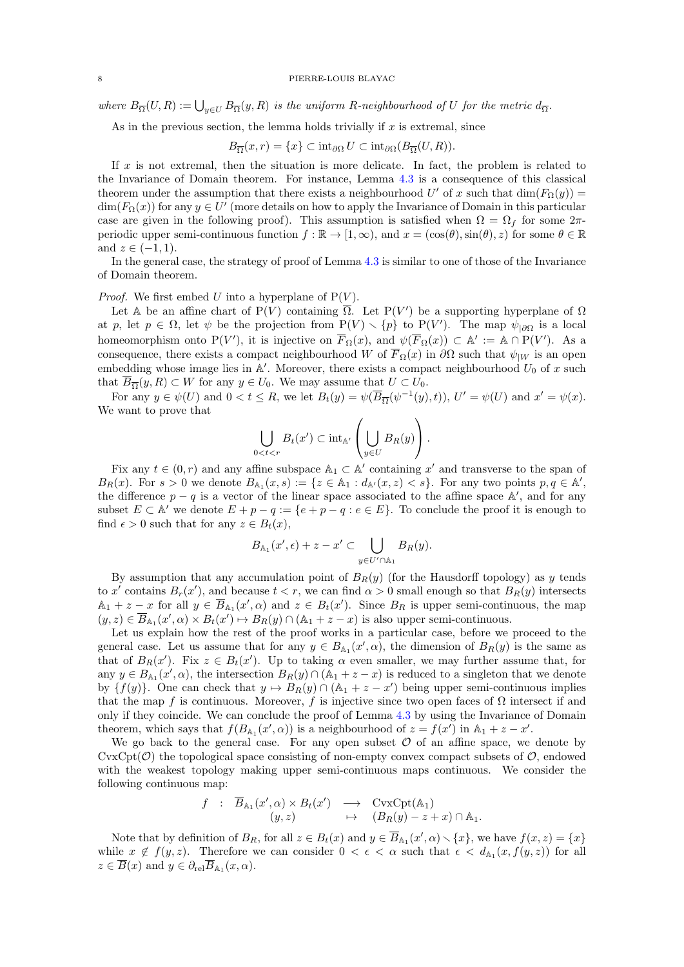where  $B_{\overline{\Omega}}(U,R) := \bigcup_{y \in U} B_{\overline{\Omega}}(y,R)$  is the uniform R-neighbourhood of U for the metric  $d_{\overline{\Omega}}$ .

As in the previous section, the lemma holds trivially if  $x$  is extremal, since

$$
B_{\overline{\Omega}}(x,r) = \{x\} \subset \mathrm{int}_{\partial\Omega} U \subset \mathrm{int}_{\partial\Omega} (B_{\overline{\Omega}}(U,R)).
$$

If  $x$  is not extremal, then the situation is more delicate. In fact, the problem is related to the Invariance of Domain theorem. For instance, Lemma [4.3](#page-6-0) is a consequence of this classical theorem under the assumption that there exists a neighbourhood U' of x such that  $\dim(F_{\Omega}(y)) =$  $\dim(F_{\Omega}(x))$  for any  $y \in U'$  (more details on how to apply the Invariance of Domain in this particular case are given in the following proof). This assumption is satisfied when  $\Omega = \Omega_f$  for some  $2\pi$ periodic upper semi-continuous function  $f : \mathbb{R} \to [1,\infty)$ , and  $x = (\cos(\theta), \sin(\theta), z)$  for some  $\theta \in \mathbb{R}$ and  $z \in (-1, 1)$ .

In the general case, the strategy of proof of Lemma [4.3](#page-6-0) is similar to one of those of the Invariance of Domain theorem.

*Proof.* We first embed U into a hyperplane of  $P(V)$ .

Let A be an affine chart of P(V) containing  $\overline{\Omega}$ . Let P(V') be a supporting hyperplane of  $\Omega$ at p, let  $p \in \Omega$ , let  $\psi$  be the projection from  $P(V) \setminus \{p\}$  to  $P(V')$ . The map  $\psi_{|\partial\Omega}$  is a local homeomorphism onto P(V'), it is injective on  $\overline{F}_{\Omega}(x)$ , and  $\psi(\overline{F}_{\Omega}(x)) \subset \mathbb{A}' := \mathbb{A} \cap P(V')$ . As a consequence, there exists a compact neighbourhood W of  $\overline{F}_{\Omega}(x)$  in  $\partial\Omega$  such that  $\psi_{|W}$  is an open embedding whose image lies in  $\mathbb{A}'$ . Moreover, there exists a compact neighbourhood  $U_0$  of x such that  $\overline{B}_{\overline{\Omega}}(y, R) \subset W$  for any  $y \in U_0$ . We may assume that  $U \subset U_0$ .

For any  $y \in \psi(U)$  and  $0 < t \leq R$ , we let  $B_t(y) = \psi(\overline{B}_{\overline{\Omega}}(\psi^{-1}(y), t)), U' = \psi(U)$  and  $x' = \psi(x)$ . We want to prove that

$$
\bigcup_{0
$$

Fix any  $t \in (0, r)$  and any affine subspace  $\mathbb{A}_1 \subset \mathbb{A}'$  containing x' and transverse to the span of  $B_R(x)$ . For  $s > 0$  we denote  $B_{\mathbb{A}_1}(x, s) := \{z \in \mathbb{A}_1 : d_{\mathbb{A}'}(x, z) < s\}$ . For any two points  $p, q \in \mathbb{A}'$ , the difference  $p - q$  is a vector of the linear space associated to the affine space A', and for any subset  $E \subset A'$  we denote  $E + p - q := \{e + p - q : e \in E\}$ . To conclude the proof it is enough to find  $\epsilon > 0$  such that for any  $z \in B_t(x)$ ,

$$
B_{\mathbb{A}_1}(x',\epsilon)+z-x'\subset \bigcup_{y\in U'\cap \mathbb{A}_1}B_R(y).
$$

By assumption that any accumulation point of  $B_R(y)$  (for the Hausdorff topology) as y tends to x' contains  $B_r(x')$ , and because  $t < r$ , we can find  $\alpha > 0$  small enough so that  $B_R(y)$  intersects  $\mathbb{A}_1 + z - x$  for all  $y \in \overline{B}_{\mathbb{A}_1}(x', \alpha)$  and  $z \in B_t(x')$ . Since  $B_R$  is upper semi-continuous, the map  $(y, z) \in \overline{B}_{\mathbb{A}_1}(x', \alpha) \times B_t(x') \mapsto B_R(y) \cap (\mathbb{A}_1 + z - x)$  is also upper semi-continuous.

Let us explain how the rest of the proof works in a particular case, before we proceed to the general case. Let us assume that for any  $y \in B_{A_1}(x', \alpha)$ , the dimension of  $B_R(y)$  is the same as that of  $B_R(x')$ . Fix  $z \in B_t(x')$ . Up to taking  $\alpha$  even smaller, we may further assume that, for any  $y \in B_{\mathbb{A}_1}(x', \alpha)$ , the intersection  $B_R(y) \cap (\mathbb{A}_1 + z - x)$  is reduced to a singleton that we denote by  $\{f(y)\}\$ . One can check that  $y \mapsto B_R(y) \cap (A_1 + z - x')$  being upper semi-continuous implies that the map f is continuous. Moreover, f is injective since two open faces of  $\Omega$  intersect if and only if they coincide. We can conclude the proof of Lemma [4.3](#page-6-0) by using the Invariance of Domain theorem, which says that  $f(B_{\mathbb{A}_1}(x', \alpha))$  is a neighbourhood of  $z = f(x')$  in  $\mathbb{A}_1 + z - x'$ .

We go back to the general case. For any open subset  $\mathcal O$  of an affine space, we denote by  $CvxCpt(\mathcal{O})$  the topological space consisting of non-empty convex compact subsets of  $\mathcal{O}$ , endowed with the weakest topology making upper semi-continuous maps continuous. We consider the following continuous map:

$$
f : \overline{B}_{\mathbb{A}_1}(x', \alpha) \times B_t(x') \longrightarrow \text{CvxCpt}(\mathbb{A}_1)
$$
  

$$
(y, z) \mapsto (B_R(y) - z + x) \cap \mathbb{A}_1.
$$

Note that by definition of  $B_R$ , for all  $z \in B_t(x)$  and  $y \in \overline{B}_{\mathbb{A}_1}(x', \alpha) \setminus \{x\}$ , we have  $f(x, z) = \{x\}$ while  $x \notin f(y, z)$ . Therefore we can consider  $0 < \epsilon < \alpha$  such that  $\epsilon < d_{A_1}(x, f(y, z))$  for all  $z \in B(x)$  and  $y \in \partial_{\text{rel}} B_{\mathbb{A}_1}(x, \alpha)$ .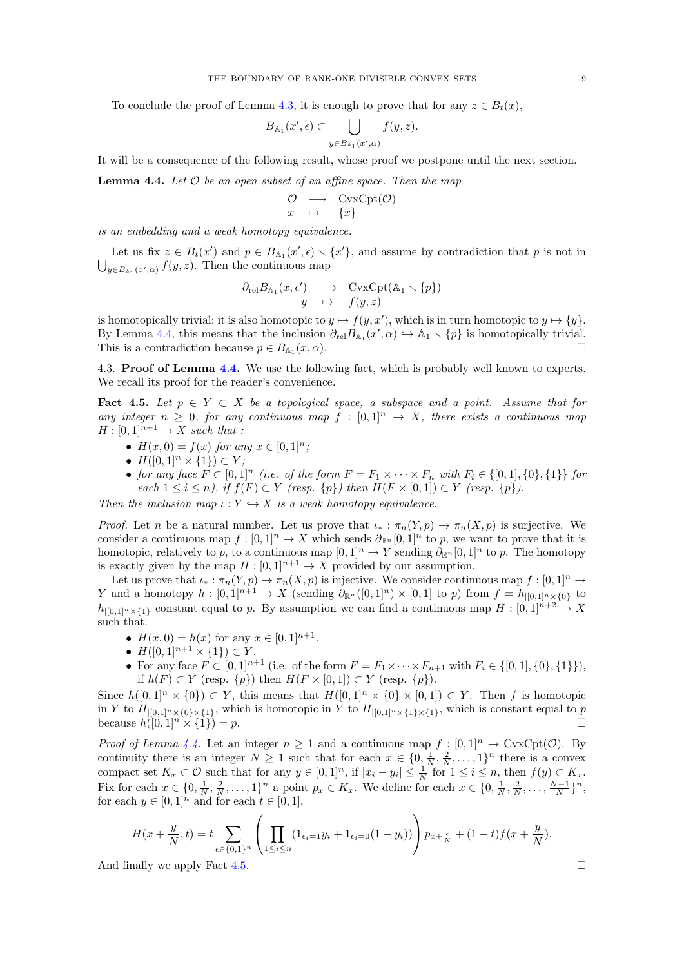To conclude the proof of Lemma [4.3,](#page-6-0) it is enough to prove that for any  $z \in B_t(x)$ ,

$$
\overline{B}_{\mathbb{A}_1}(x',\epsilon) \subset \bigcup_{y \in \overline{B}_{\mathbb{A}_1}(x',\alpha)} f(y,z).
$$

It will be a consequence of the following result, whose proof we postpone until the next section.

<span id="page-8-0"></span>**Lemma 4.4.** Let  $O$  be an open subset of an affine space. Then the map

$$
\begin{array}{ccc}\n\mathcal{O} & \longrightarrow & \text{CvxCpt}(\mathcal{O})\\
x & \mapsto & \{x\}\n\end{array}
$$

is an embedding and a weak homotopy equivalence.

Let us fix  $z \in B_t(x')$  and  $p \in \overline{B}_{\mathbb{A}_1}(x', \epsilon) \setminus \{x'\}$ , and assume by contradiction that p is not in  $\bigcup_{y\in \overline{B}_{\mathbb{A}_1}(x',\alpha)} f(y,z)$ . Then the continuous map

$$
\begin{array}{ccc}\n\partial_{\text{rel}}B_{\mathbb{A}_1}(x,\epsilon') & \longrightarrow & \text{CvxCpt}(\mathbb{A}_1 \smallsetminus \{p\})\\
y & \mapsto & f(y,z)\n\end{array}
$$

is homotopically trivial; it is also homotopic to  $y \mapsto f(y, x')$ , which is in turn homotopic to  $y \mapsto \{y\}$ . By Lemma [4.4,](#page-8-0) this means that the inclusion  $\partial_{rel} B_{A_1}(x', \alpha) \hookrightarrow A_1 \setminus \{p\}$  is homotopically trivial. This is a contradiction because  $p \in B_{\mathbb{A}_1}(x, \alpha)$ .  $(x, \alpha)$ .

4.3. Proof of Lemma [4.4.](#page-8-0) We use the following fact, which is probably well known to experts. We recall its proof for the reader's convenience.

<span id="page-8-1"></span>Fact 4.5. Let  $p \in Y \subset X$  be a topological space, a subspace and a point. Assume that for any integer  $n \geq 0$ , for any continuous map  $f : [0,1]^n \to X$ , there exists a continuous map  $H : [0, 1]^{n+1} \rightarrow X$  such that :

- $H(x, 0) = f(x)$  for any  $x \in [0, 1]^n$ ;
- $H([0,1]^n \times \{1\}) \subset Y$ ;
- for any face  $F \subset [0,1]^n$  (i.e. of the form  $F = F_1 \times \cdots \times F_n$  with  $F_i \in \{[0,1], \{0\}, \{1\}\}\$ for each  $1 \leq i \leq n$ , if  $f(F) \subset Y$  (resp.  $\{p\}$ ) then  $H(F \times [0, 1]) \subset Y$  (resp.  $\{p\}$ ).

Then the inclusion map  $\iota: Y \hookrightarrow X$  is a weak homotopy equivalence.

*Proof.* Let n be a natural number. Let us prove that  $\iota_* : \pi_n(Y, p) \to \pi_n(X, p)$  is surjective. We consider a continuous map  $f : [0,1]^n \to X$  which sends  $\partial_{\mathbb{R}^n} [0,1]^n$  to p, we want to prove that it is homotopic, relatively to p, to a continuous map  $[0, 1]^n \to Y$  sending  $\partial_{\mathbb{R}^n} [0, 1]^n$  to p. The homotopy is exactly given by the map  $H : [0,1]^{n+1} \to X$  provided by our assumption.

Let us prove that  $\iota_* : \pi_n(Y, p) \to \pi_n(X, p)$  is injective. We consider continuous map  $f : [0, 1]^n \to$ Y and a homotopy  $h: [0,1]^{n+1} \to X$  (sending  $\partial_{\mathbb{R}^n}([0,1]^n) \times [0,1]$  to p) from  $f = h_{|[0,1]^n \times \{0\}}$  to  $h_{|[0,1]^n\times\{1\}}$  constant equal to p. By assumption we can find a continuous map  $H:[0,1]^{n+2}\to X$ such that:

- $H(x, 0) = h(x)$  for any  $x \in [0, 1]^{n+1}$ .
- $H([0,1]^{n+1} \times \{1\}) \subset Y$ .
- For any face  $F \subset [0, 1]^{n+1}$  (i.e. of the form  $F = F_1 \times \cdots \times F_{n+1}$  with  $F_i \in \{[0, 1], \{0\}, \{1\}\}),$ if  $h(F) \subset Y$  (resp.  $\{p\}$ ) then  $H(F \times [0, 1]) \subset Y$  (resp.  $\{p\}$ ).

Since  $h([0,1]^n \times \{0\}) \subset Y$ , this means that  $H([0,1]^n \times \{0\} \times [0,1]) \subset Y$ . Then f is homotopic in Y to  $H_{|[0,1]^n\times{0}\times{1}}$ , which is homotopic in Y to  $H_{|[0,1]^n\times{1}\times{1}\times{1}\times{1}}$ , which is constant equal to p because  $h([0,1]^n \times \{1\}) = p.$ 

*Proof of Lemma [4.4.](#page-8-0)* Let an integer  $n \ge 1$  and a continuous map  $f : [0,1]^n \to \text{CvxCpt}(\mathcal{O})$ . By continuity there is an integer  $N \geq 1$  such that for each  $x \in \{0, \frac{1}{N}, \frac{2}{N}, \dots, 1\}^n$  there is a convex compact set  $K_x \subset \mathcal{O}$  such that for any  $y \in [0,1]^n$ , if  $|x_i - y_i| \leq \frac{1}{N}$  for  $1 \leq i \leq n$ , then  $f(y) \subset K_x$ . Fix for each  $x \in \{0, \frac{1}{N}, \frac{2}{N}, \ldots, 1\}^n$  a point  $p_x \in K_x$ . We define for each  $x \in \{0, \frac{1}{N}, \frac{2}{N}, \ldots, \frac{N-1}{N}\}^n$ , for each  $y \in [0,1]^n$  and for each  $t \in [0,1]$ ,

$$
H(x+\frac{y}{N},t) = t \sum_{\epsilon \in \{0,1\}^n} \left( \prod_{1 \le i \le n} (1_{\epsilon_i=1}y_i + 1_{\epsilon_i=0}(1-y_i)) \right) p_{x+\frac{\epsilon}{N}} + (1-t)f(x+\frac{y}{N}).
$$

And finally we apply Fact [4.5.](#page-8-1)